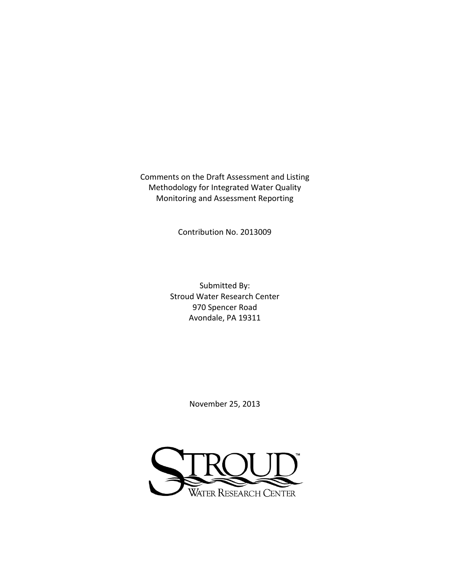Comments on the Draft Assessment and Listing Methodology for Integrated Water Quality Monitoring and Assessment Reporting

Contribution No. 2013009

Submitted By: Stroud Water Research Center 970 Spencer Road Avondale, PA 19311

November 25, 2013

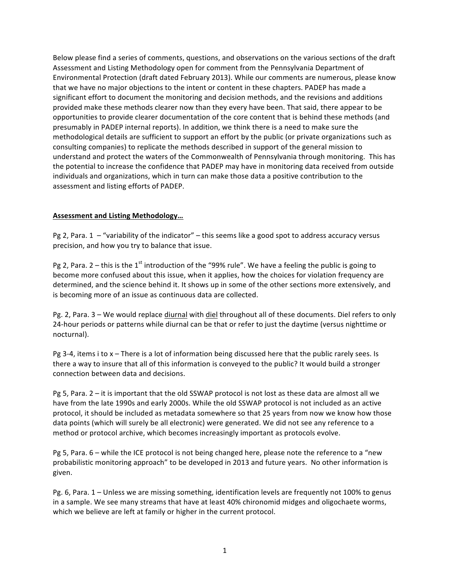Below please find a series of comments, questions, and observations on the various sections of the draft Assessment and Listing Methodology open for comment from the Pennsylvania Department of Environmental Protection (draft dated February 2013). While our comments are numerous, please know that we have no major objections to the intent or content in these chapters. PADEP has made a significant effort to document the monitoring and decision methods, and the revisions and additions provided make these methods clearer now than they every have been. That said, there appear to be opportunities to provide clearer documentation of the core content that is behind these methods (and presumably in PADEP internal reports). In addition, we think there is a need to make sure the methodological details are sufficient to support an effort by the public (or private organizations such as consulting companies) to replicate the methods described in support of the general mission to understand and protect the waters of the Commonwealth of Pennsylvania through monitoring. This has the potential to increase the confidence that PADEP may have in monitoring data received from outside individuals and organizations, which in turn can make those data a positive contribution to the assessment and listing efforts of PADEP.

## **Assessment!and!Listing!Methodology…**

Pg 2, Para.  $1 -$  "variability of the indicator" – this seems like a good spot to address accuracy versus precision, and how you try to balance that issue.

Pg 2, Para. 2 – this is the 1<sup>st</sup> introduction of the "99% rule". We have a feeling the public is going to become more confused about this issue, when it applies, how the choices for violation frequency are determined, and the science behind it. It shows up in some of the other sections more extensively, and is becoming more of an issue as continuous data are collected.

Pg. 2, Para. 3 – We would replace diurnal with diel throughout all of these documents. Diel refers to only 24-hour periods or patterns while diurnal can be that or refer to just the daytime (versus nighttime or nocturnal).

Pg 3-4, items i to  $x$  – There is a lot of information being discussed here that the public rarely sees. Is there a way to insure that all of this information is conveyed to the public? It would build a stronger connection between data and decisions.

Pg 5, Para. 2 – it is important that the old SSWAP protocol is not lost as these data are almost all we have from the late 1990s and early 2000s. While the old SSWAP protocol is not included as an active protocol, it should be included as metadata somewhere so that 25 years from now we know how those data points (which will surely be all electronic) were generated. We did not see any reference to a method or protocol archive, which becomes increasingly important as protocols evolve.

Pg 5, Para. 6 – while the ICE protocol is not being changed here, please note the reference to a "new probabilistic monitoring approach" to be developed in 2013 and future years. No other information is given.

Pg. 6, Para. 1 – Unless we are missing something, identification levels are frequently not 100% to genus in a sample. We see many streams that have at least 40% chironomid midges and oligochaete worms, which we believe are left at family or higher in the current protocol.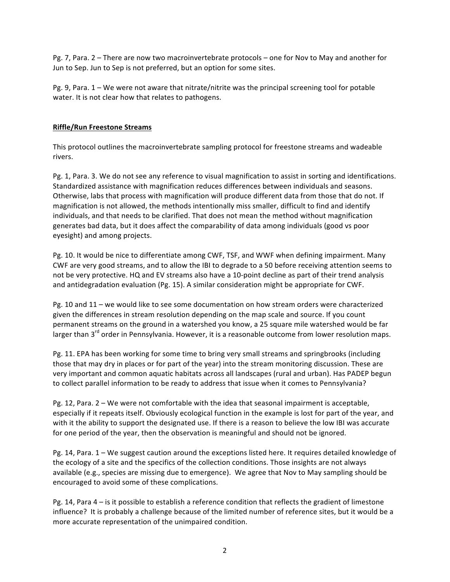Pg. 7, Para. 2 – There are now two macroinvertebrate protocols – one for Nov to May and another for Jun to Sep. Jun to Sep is not preferred, but an option for some sites.

Pg. 9, Para. 1 – We were not aware that nitrate/nitrite was the principal screening tool for potable water. It is not clear how that relates to pathogens.

### **Riffle/Run Freestone Streams**

This protocol outlines the macroinvertebrate sampling protocol for freestone streams and wadeable rivers.

Pg. 1, Para. 3. We do not see any reference to visual magnification to assist in sorting and identifications. Standardized assistance with magnification reduces differences between individuals and seasons. Otherwise, labs that process with magnification will produce different data from those that do not. If magnification is not allowed, the methods intentionally miss smaller, difficult to find and identify individuals, and that needs to be clarified. That does not mean the method without magnification generates bad data, but it does affect the comparability of data among individuals (good vs poor eyesight) and among projects.

Pg. 10. It would be nice to differentiate among CWF, TSF, and WWF when defining impairment. Many CWF are very good streams, and to allow the IBI to degrade to a 50 before receiving attention seems to not be very protective. HQ and EV streams also have a 10-point decline as part of their trend analysis and antidegradation evaluation (Pg. 15). A similar consideration might be appropriate for CWF.

Pg. 10 and 11 – we would like to see some documentation on how stream orders were characterized given the differences in stream resolution depending on the map scale and source. If you count permanent streams on the ground in a watershed you know, a 25 square mile watershed would be far larger than 3<sup>rd</sup> order in Pennsylvania. However, it is a reasonable outcome from lower resolution maps.

Pg. 11. EPA has been working for some time to bring very small streams and springbrooks (including those that may dry in places or for part of the year) into the stream monitoring discussion. These are very important and common aquatic habitats across all landscapes (rural and urban). Has PADEP begun to collect parallel information to be ready to address that issue when it comes to Pennsylvania?

Pg. 12, Para.  $2$  – We were not comfortable with the idea that seasonal impairment is acceptable, especially if it repeats itself. Obviously ecological function in the example is lost for part of the year, and with it the ability to support the designated use. If there is a reason to believe the low IBI was accurate for one period of the year, then the observation is meaningful and should not be ignored.

Pg. 14, Para. 1 – We suggest caution around the exceptions listed here. It requires detailed knowledge of the ecology of a site and the specifics of the collection conditions. Those insights are not always available (e.g., species are missing due to emergence). We agree that Nov to May sampling should be encouraged to avoid some of these complications.

Pg. 14, Para 4 – is it possible to establish a reference condition that reflects the gradient of limestone influence? It is probably a challenge because of the limited number of reference sites, but it would be a more accurate representation of the unimpaired condition.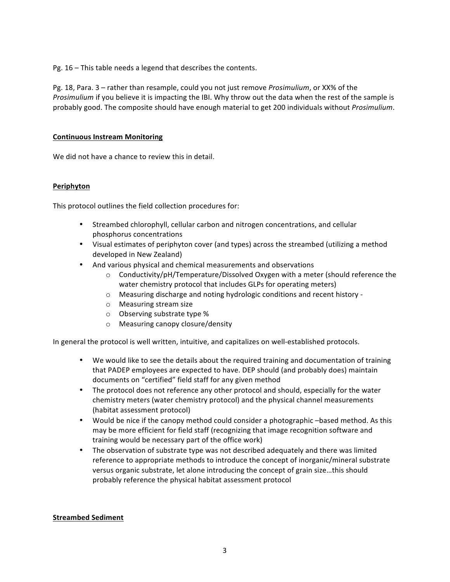Pg. 16 – This table needs a legend that describes the contents.

Pg. 18, Para. 3 – rather than resample, could you not just remove *Prosimulium*, or XX% of the *Prosimulium* if you believe it is impacting the IBI. Why throw out the data when the rest of the sample is probably good. The composite should have enough material to get 200 individuals without *Prosimulium*.

## **Continuous Instream Monitoring**

We did not have a chance to review this in detail.

## **Periphyton**

This protocol outlines the field collection procedures for:

- Streambed chlorophyll, cellular carbon and nitrogen concentrations, and cellular phosphorus concentrations
- Visual estimates of periphyton cover (and types) across the streambed (utilizing a method developed in New Zealand)
- And various physical and chemical measurements and observations
	- $\circ$  Conductivity/pH/Temperature/Dissolved Oxygen with a meter (should reference the water chemistry protocol that includes GLPs for operating meters)
	- $\circ$  Measuring discharge and noting hydrologic conditions and recent history -
	- $\circ$  Measuring stream size
	- $\circ$  Observing substrate type %
	- o Measuring!canopy!closure/density

In general the protocol is well written, intuitive, and capitalizes on well-established protocols.

- We would like to see the details about the required training and documentation of training that PADEP employees are expected to have. DEP should (and probably does) maintain documents on "certified" field staff for any given method
- The protocol does not reference any other protocol and should, especially for the water chemistry meters (water chemistry protocol) and the physical channel measurements (habitat assessment protocol)
- Would be nice if the canopy method could consider a photographic –based method. As this may be more efficient for field staff (recognizing that image recognition software and training would be necessary part of the office work)
- The observation of substrate type was not described adequately and there was limited reference to appropriate methods to introduce the concept of inorganic/mineral substrate versus organic substrate, let alone introducing the concept of grain size...this should probably reference the physical habitat assessment protocol

#### **Streambed Sediment**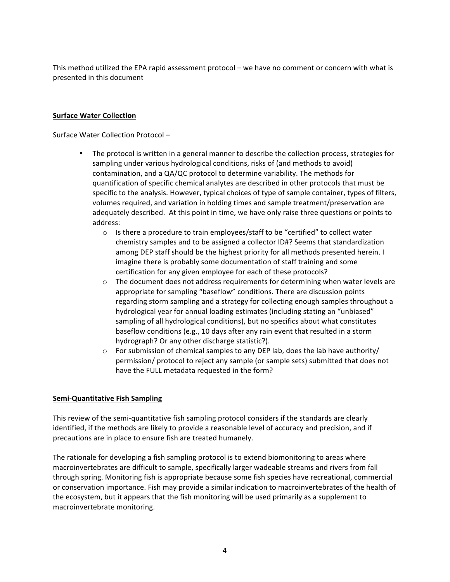This method utilized the EPA rapid assessment protocol – we have no comment or concern with what is presented in this document

#### **Surface Water Collection**

Surface Water Collection Protocol –

- The protocol is written in a general manner to describe the collection process, strategies for sampling under various hydrological conditions, risks of (and methods to avoid) contamination, and a QA/QC protocol to determine variability. The methods for quantification of specific chemical analytes are described in other protocols that must be specific to the analysis. However, typical choices of type of sample container, types of filters, volumes required, and variation in holding times and sample treatment/preservation are adequately described. At this point in time, we have only raise three questions or points to address:
	- $\circ$  Is there a procedure to train employees/staff to be "certified" to collect water chemistry samples and to be assigned a collector ID#? Seems that standardization among DEP staff should be the highest priority for all methods presented herein. I imagine there is probably some documentation of staff training and some certification for any given employee for each of these protocols?
	- $\circ$  The document does not address requirements for determining when water levels are appropriate for sampling "baseflow" conditions. There are discussion points regarding storm sampling and a strategy for collecting enough samples throughout a hydrological year for annual loading estimates (including stating an "unbiased" sampling of all hydrological conditions), but no specifics about what constitutes baseflow conditions (e.g., 10 days after any rain event that resulted in a storm hydrograph? Or any other discharge statistic?).
	- $\circ$  For submission of chemical samples to any DEP lab, does the lab have authority/ permission/ protocol to reject any sample (or sample sets) submitted that does not have the FULL metadata requested in the form?

# **Semi-Quantitative Fish Sampling**

This review of the semi-quantitative fish sampling protocol considers if the standards are clearly identified, if the methods are likely to provide a reasonable level of accuracy and precision, and if precautions are in place to ensure fish are treated humanely.

The rationale for developing a fish sampling protocol is to extend biomonitoring to areas where macroinvertebrates are difficult to sample, specifically larger wadeable streams and rivers from fall through spring. Monitoring fish is appropriate because some fish species have recreational, commercial or conservation importance. Fish may provide a similar indication to macroinvertebrates of the health of the ecosystem, but it appears that the fish monitoring will be used primarily as a supplement to macroinvertebrate monitoring.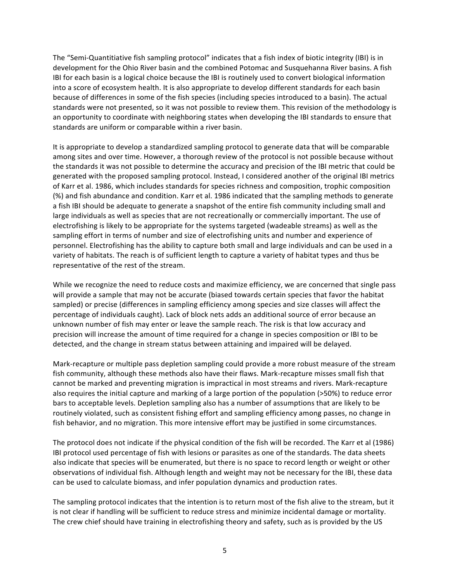The "Semi-Quantitiative fish sampling protocol" indicates that a fish index of biotic integrity (IBI) is in development for the Ohio River basin and the combined Potomac and Susquehanna River basins. A fish IBI for each basin is a logical choice because the IBI is routinely used to convert biological information into a score of ecosystem health. It is also appropriate to develop different standards for each basin because of differences in some of the fish species (including species introduced to a basin). The actual standards were not presented, so it was not possible to review them. This revision of the methodology is an opportunity to coordinate with neighboring states when developing the IBI standards to ensure that standards are uniform or comparable within a river basin.

It is appropriate to develop a standardized sampling protocol to generate data that will be comparable among sites and over time. However, a thorough review of the protocol is not possible because without the standards it was not possible to determine the accuracy and precision of the IBI metric that could be generated with the proposed sampling protocol. Instead, I considered another of the original IBI metrics of Karr et al. 1986, which includes standards for species richness and composition, trophic composition (%) and fish abundance and condition. Karr et al. 1986 indicated that the sampling methods to generate a fish IBI should be adequate to generate a snapshot of the entire fish community including small and large individuals as well as species that are not recreationally or commercially important. The use of electrofishing is likely to be appropriate for the systems targeted (wadeable streams) as well as the sampling effort in terms of number and size of electrofishing units and number and experience of personnel. Electrofishing has the ability to capture both small and large individuals and can be used in a variety of habitats. The reach is of sufficient length to capture a variety of habitat types and thus be representative of the rest of the stream.

While we recognize the need to reduce costs and maximize efficiency, we are concerned that single pass will provide a sample that may not be accurate (biased towards certain species that favor the habitat sampled) or precise (differences in sampling efficiency among species and size classes will affect the percentage of individuals caught). Lack of block nets adds an additional source of error because an unknown number of fish may enter or leave the sample reach. The risk is that low accuracy and precision will increase the amount of time required for a change in species composition or IBI to be detected, and the change in stream status between attaining and impaired will be delayed.

Mark-recapture or multiple pass depletion sampling could provide a more robust measure of the stream fish community, although these methods also have their flaws. Mark-recapture misses small fish that cannot be marked and preventing migration is impractical in most streams and rivers. Mark-recapture also requires the initial capture and marking of a large portion of the population (>50%) to reduce error bars to acceptable levels. Depletion sampling also has a number of assumptions that are likely to be routinely violated, such as consistent fishing effort and sampling efficiency among passes, no change in fish behavior, and no migration. This more intensive effort may be justified in some circumstances.

The protocol does not indicate if the physical condition of the fish will be recorded. The Karr et al (1986) IBI protocol used percentage of fish with lesions or parasites as one of the standards. The data sheets also indicate that species will be enumerated, but there is no space to record length or weight or other observations of individual fish. Although length and weight may not be necessary for the IBI, these data can be used to calculate biomass, and infer population dynamics and production rates.

The sampling protocol indicates that the intention is to return most of the fish alive to the stream, but it is not clear if handling will be sufficient to reduce stress and minimize incidental damage or mortality. The crew chief should have training in electrofishing theory and safety, such as is provided by the US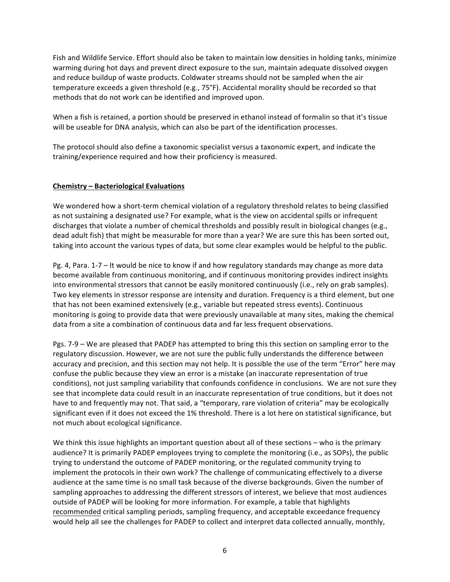Fish and Wildlife Service. Effort should also be taken to maintain low densities in holding tanks, minimize warming during hot days and prevent direct exposure to the sun, maintain adequate dissolved oxygen and reduce buildup of waste products. Coldwater streams should not be sampled when the air temperature exceeds a given threshold (e.g., 75°F). Accidental morality should be recorded so that methods that do not work can be identified and improved upon.

When a fish is retained, a portion should be preserved in ethanol instead of formalin so that it's tissue will be useable for DNA analysis, which can also be part of the identification processes.

The protocol should also define a taxonomic specialist versus a taxonomic expert, and indicate the training/experience required and how their proficiency is measured.

## **Chemistry!– Bacteriological!Evaluations**

We wondered how a short-term chemical violation of a regulatory threshold relates to being classified as not sustaining a designated use? For example, what is the view on accidental spills or infrequent discharges that violate a number of chemical thresholds and possibly result in biological changes (e.g., dead adult fish) that might be measurable for more than a year? We are sure this has been sorted out, taking into account the various types of data, but some clear examples would be helpful to the public.

Pg. 4, Para. 1-7 – It would be nice to know if and how regulatory standards may change as more data become available from continuous monitoring, and if continuous monitoring provides indirect insights into environmental stressors that cannot be easily monitored continuously (i.e., rely on grab samples). Two key elements in stressor response are intensity and duration. Frequency is a third element, but one that has not been examined extensively (e.g., variable but repeated stress events). Continuous monitoring is going to provide data that were previously unavailable at many sites, making the chemical data from a site a combination of continuous data and far less frequent observations.

Pgs. 7-9 – We are pleased that PADEP has attempted to bring this this section on sampling error to the regulatory discussion. However, we are not sure the public fully understands the difference between accuracy and precision, and this section may not help. It is possible the use of the term "Error" here may confuse the public because they view an error is a mistake (an inaccurate representation of true conditions), not just sampling variability that confounds confidence in conclusions. We are not sure they see that incomplete data could result in an inaccurate representation of true conditions, but it does not have to and frequently may not. That said, a "temporary, rare violation of criteria" may be ecologically significant even if it does not exceed the 1% threshold. There is a lot here on statistical significance, but not much about ecological significance.

We think this issue highlights an important question about all of these sections – who is the primary audience? It is primarily PADEP employees trying to complete the monitoring (i.e., as SOPs), the public trying to understand the outcome of PADEP monitoring, or the regulated community trying to implement the protocols in their own work? The challenge of communicating effectively to a diverse audience at the same time is no small task because of the diverse backgrounds. Given the number of sampling approaches to addressing the different stressors of interest, we believe that most audiences outside of PADEP will be looking for more information. For example, a table that highlights recommended critical sampling periods, sampling frequency, and acceptable exceedance frequency would help all see the challenges for PADEP to collect and interpret data collected annually, monthly,